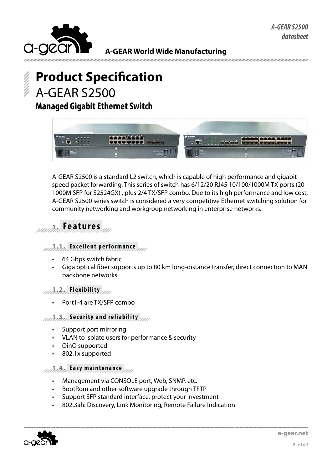

**A-GEAR World Wide Manufacturing**

# **Product Specification** A-GEAR S2500

### **Managed Gigabit Ethernet Switch**



A-GEAR S2500 is a standard L2 switch, which is capable of high performance and gigabit speed packet forwarding. This series of switch has 6/12/20 RJ45 10/100/1000M TX ports (20 1000M SFP for S2524GX) , plus 2/4 TX/SFP combo. Due to its high performance and low cost, A-GEAR S2500 series switch is considered a very competitive Ethernet switching solution for community networking and workgroup networking in enterprise networks.

## **1. Features**

#### **1.1. Excellent performance**

- 64 Gbps switch fabric
- Giga optical fiber supports up to 80 km long-distance transfer, direct connection to MAN backbone networks

#### **1.2. Flexibility**

Port1-4 are TX/SFP combo

#### **1.3. Security and reliability**

- • Support port mirroring
- • VLAN to isolate users for performance & security
- • QinQ supported
- 802.1x supported

#### **1.4. Easy maintenance**

- Management via CONSOLE port, Web, SNMP, etc.
- BootRom and other software upgrade through TFTP
- Support SFP standard interface, protect your investment
- 802.3ah: Discovery, Link Monitoring, Remote Failure Indication

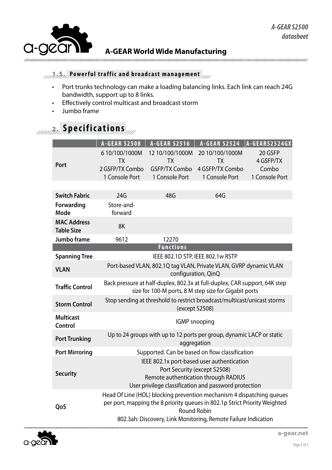

### **A-GEAR World Wide Manufacturing**

### **1.5. Powerful traffic and broadcast management**

- Port trunks technology can make a loading balancing links. Each link can reach 24G bandwidth, support up to 8 links.
- • Effectively control multicast and broadcast storm
- • Jumbo frame

# **2. Specifications**

|                                         | <b>A-GEAR S2508</b>                                                                                                                                                         | <b>A-GEAR S2516</b>          | <b>A-GEAR S2524</b>          | A-GEARS2524GX        |  |  |
|-----------------------------------------|-----------------------------------------------------------------------------------------------------------------------------------------------------------------------------|------------------------------|------------------------------|----------------------|--|--|
| Port                                    | 6 10/100/1000M<br><b>TX</b>                                                                                                                                                 | 12 10/100/1000M<br><b>TX</b> | 20 10/100/1000M<br><b>TX</b> | 20 GSFP<br>4 GSFP/TX |  |  |
|                                         | 2 GSFP/TX Combo                                                                                                                                                             | <b>GSFP/TX Combo</b>         | 4 GSFP/TX Combo              | Combo                |  |  |
|                                         | 1 Console Port                                                                                                                                                              | 1 Console Port               | 1 Console Port               | 1 Console Port       |  |  |
|                                         |                                                                                                                                                                             |                              |                              |                      |  |  |
| <b>Switch Fabric</b>                    | 24G                                                                                                                                                                         | 48G                          | 64G                          |                      |  |  |
| Forwarding<br>Mode                      | Store-and-<br>forward                                                                                                                                                       |                              |                              |                      |  |  |
| <b>MAC Address</b><br><b>Table Size</b> | 8K                                                                                                                                                                          |                              |                              |                      |  |  |
| Jumbo frame                             | 9612                                                                                                                                                                        | 12270                        |                              |                      |  |  |
|                                         | <b>Functions</b>                                                                                                                                                            |                              |                              |                      |  |  |
| <b>Spanning Tree</b>                    | IEEE 802.1D STP, IEEE 802.1w RSTP                                                                                                                                           |                              |                              |                      |  |  |
| <b>VLAN</b>                             | Port-based VLAN, 802.1Q tag VLAN, Private VLAN, GVRP dynamic VLAN<br>configuration, QinQ                                                                                    |                              |                              |                      |  |  |
| <b>Traffic Control</b>                  | Back pressure at half-duplex, 802.3x at full-duplex, CAR support, 64K step<br>size for 100-M ports, 8 M step size for Gigabit ports                                         |                              |                              |                      |  |  |
| <b>Storm Control</b>                    | Stop sending at threshold to restrict broadcast/multicast/unicast storms<br>(except S2508)                                                                                  |                              |                              |                      |  |  |
| <b>Multicast</b><br>Control             | <b>IGMP</b> snooping                                                                                                                                                        |                              |                              |                      |  |  |
| <b>Port Trunking</b>                    | Up to 24 groups with up to 12 ports per group, dynamic LACP or static<br>aggregation                                                                                        |                              |                              |                      |  |  |
| <b>Port Mirroring</b>                   | Supported. Can be based on flow classification                                                                                                                              |                              |                              |                      |  |  |
| <b>Security</b>                         | IEEE 802.1x port-based user authentication<br>Port Security (except S2508)<br>Remote authentication through RADIUS<br>User privilege classification and password protection |                              |                              |                      |  |  |
| QoS                                     | Head Of Line (HOL) blocking prevention mechanism 4 dispatching queues<br>per port, mapping the 8 priority queues in 802.1p Strict Priority Weighted<br><b>Round Robin</b>   |                              |                              |                      |  |  |
|                                         | 802.3ah: Discovery, Link Monitoring, Remote Failure Indication                                                                                                              |                              |                              |                      |  |  |